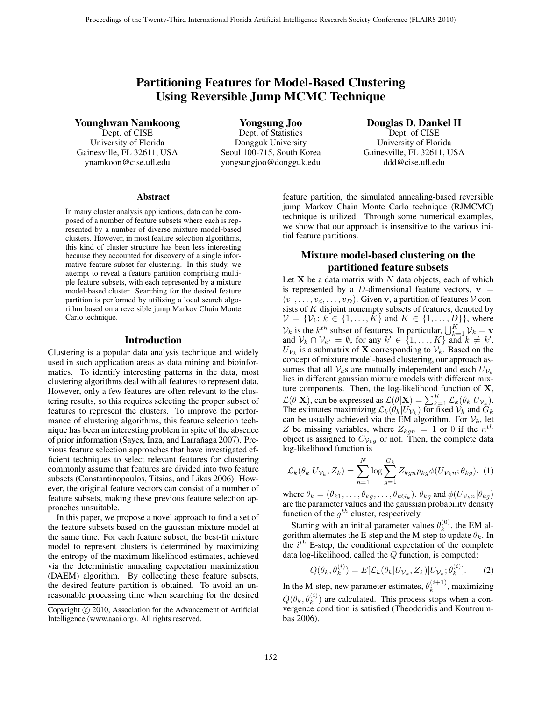# Partitioning Features for Model-Based Clustering Using Reversible Jump MCMC Technique

Younghwan Namkoong

Dept. of CISE University of Florida Gainesville, FL 32611, USA ynamkoon@cise.ufl.edu

Yongsung Joo Dept. of Statistics Dongguk University Seoul 100-715, South Korea yongsungjoo@dongguk.edu

Douglas D. Dankel II Dept. of CISE University of Florida Gainesville, FL 32611, USA

ddd@cise.ufl.edu

### Abstract

In many cluster analysis applications, data can be composed of a number of feature subsets where each is represented by a number of diverse mixture model-based clusters. However, in most feature selection algorithms, this kind of cluster structure has been less interesting because they accounted for discovery of a single informative feature subset for clustering. In this study, we attempt to reveal a feature partition comprising multiple feature subsets, with each represented by a mixture model-based cluster. Searching for the desired feature partition is performed by utilizing a local search algorithm based on a reversible jump Markov Chain Monte Carlo technique.

### Introduction

Clustering is a popular data analysis technique and widely used in such application areas as data mining and bioinformatics. To identify interesting patterns in the data, most clustering algorithms deal with all features to represent data. However, only a few features are often relevant to the clustering results, so this requires selecting the proper subset of features to represent the clusters. To improve the performance of clustering algorithms, this feature selection technique has been an interesting problem in spite of the absence of prior information (Sayes, Inza, and Larrañaga 2007). Previous feature selection approaches that have investigated efficient techniques to select relevant features for clustering commonly assume that features are divided into two feature subsets (Constantinopoulos, Titsias, and Likas 2006). However, the original feature vectors can consist of a number of feature subsets, making these previous feature selection approaches unsuitable.

In this paper, we propose a novel approach to find a set of the feature subsets based on the gaussian mixture model at the same time. For each feature subset, the best-fit mixture model to represent clusters is determined by maximizing the entropy of the maximum likelihood estimates, achieved via the deterministic annealing expectation maximization (DAEM) algorithm. By collecting these feature subsets, the desired feature partition is obtained. To avoid an unreasonable processing time when searching for the desired

feature partition, the simulated annealing-based reversible jump Markov Chain Monte Carlo technique (RJMCMC) technique is utilized. Through some numerical examples, we show that our approach is insensitive to the various initial feature partitions.

## Mixture model-based clustering on the partitioned feature subsets

Let  $X$  be a data matrix with  $N$  data objects, each of which is represented by a D-dimensional feature vectors,  $\mathbf{v} =$  $(v_1,\ldots,v_d,\ldots,v_D)$ . Given **v**, a partition of features  $V$  consists of  $K$  disjoint nonempty subsets of features, denoted by  $\mathcal{V} = \{V_k; k \in \{1, ..., K\} \text{ and } K \in \{1, ..., D\}\}\,$ , where  $V_k$  is the  $k^{th}$  subset of features. In particular,  $\bigcup_{k=1}^K \mathcal{V}_k = \mathbf{v}$  and  $\mathcal{V}_k \cap \mathcal{V}_{k'} = \emptyset$  for any  $k' \in \{1, ..., K\}$  and  $k \neq k'$ and  $\mathcal{V}_k \cap \mathcal{V}_{k'} = \emptyset$ , for any  $k' \in \{1, ..., K\}$  and  $k \neq k'$ .<br>  $U_{\lambda}$ , is a submatrix of **X** corresponding to  $\mathcal{V}_k$ . Based on the  $U_{\mathcal{V}_k}$  is a submatrix of **X** corresponding to  $V_k$ . Based on the concept of mixture model-based clustering, our approach assumes that all  $V_k$ s are mutually independent and each  $U_{V_k}$ lies in different gaussian mixture models with different mixture components. Then, the log-likelihood function of **X**,  $\mathcal{L}(\theta|\mathbf{X})$ , can be expressed as  $\mathcal{L}(\theta|\mathbf{X}) = \sum_{k=1}^{K} \mathcal{L}_k(\theta_k|U_{\mathcal{V}_k})$ .<br>The estimates maximizing  $\mathcal{L}_k(\theta_k|U_{\mathcal{V}_k})$ , for fixed  $\mathcal{V}_k$  and  $\mathcal{G}_k$ . The estimates maximizing  $\mathcal{L}_k(\theta_k|U_{\mathcal{V}_k})$  for fixed  $\mathcal{V}_k$  and  $\tilde{G}_k$ can be usually achieved via the EM algorithm. For  $\mathcal{V}_k$ , let Z be missing variables, where  $Z_{kgn} = 1$  or 0 if the  $n^{th}$ object is assigned to  $C_{V_kg}$  or not. Then, the complete data log-likelihood function is

$$
\mathcal{L}_k(\theta_k | U_{\mathcal{V}_k}, Z_k) = \sum_{n=1}^N \log \sum_{g=1}^{G_k} Z_{kgn} p_{kg} \phi(U_{\mathcal{V}_k n}; \theta_{kg}). \tag{1}
$$

where  $\theta_k = (\theta_{k1}, \dots, \theta_{kg}, \dots, \theta_{kG_k})$ .  $\theta_{kg}$  and  $\phi(U_{\mathcal{V}_{k}n} | \theta_{kg})$ are the parameter values and the gaussian probability density function of the  $g^{th}$  cluster, respectively.

Starting with an initial parameter values  $\theta_k^{(0)}$ , the EM algorithm alternates the E-step and the M-step to update  $\theta_k$ . In the  $i^{th}$  E-step, the conditional expectation of the complete data log-likelihood, called the Q function, is computed:

$$
Q(\theta_k, \theta_k^{(i)}) = E[\mathcal{L}_k(\theta_k | U_{\mathcal{V}_k}, Z_k) | U_{\mathcal{V}_k}; \theta_k^{(i)}].
$$
 (2)

In the M-step, new parameter estimates,  $\theta_k^{(i+1)}$ , maximizing  $Q(\theta_k, \theta_k^{(i)})$  are calculated. This process stops when a con-<br>vergence condition is satisfied (Theodoridis and Koutroumvergence condition is satisfied (Theodoridis and Koutroumbas 2006).

Copyright  $\odot$  2010, Association for the Advancement of Artificial Intelligence (www.aaai.org). All rights reserved.